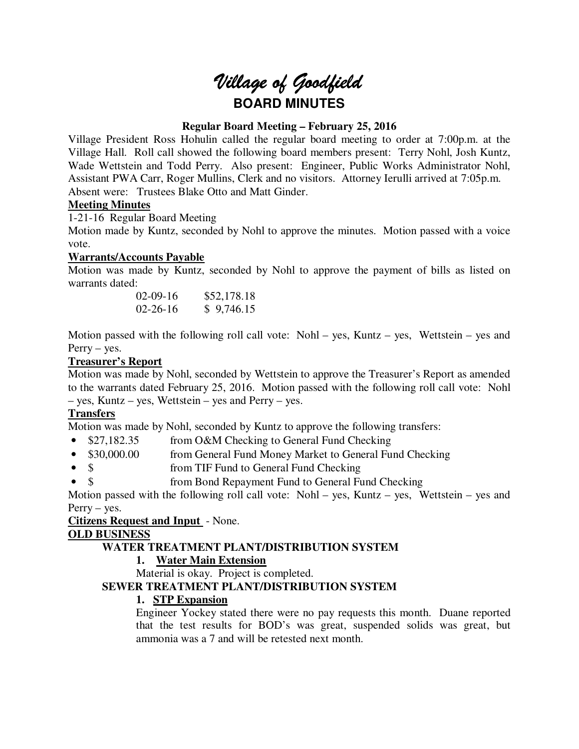# *Village of Goodfield* **BOARD MINUTES**

# **Regular Board Meeting – February 25, 2016**

Village President Ross Hohulin called the regular board meeting to order at 7:00p.m. at the Village Hall. Roll call showed the following board members present: Terry Nohl, Josh Kuntz, Wade Wettstein and Todd Perry. Also present: Engineer, Public Works Administrator Nohl, Assistant PWA Carr, Roger Mullins, Clerk and no visitors. Attorney Ierulli arrived at 7:05p.m. Absent were: Trustees Blake Otto and Matt Ginder.

# **Meeting Minutes**

1-21-16 Regular Board Meeting

Motion made by Kuntz, seconded by Nohl to approve the minutes. Motion passed with a voice vote.

# **Warrants/Accounts Payable**

Motion was made by Kuntz, seconded by Nohl to approve the payment of bills as listed on warrants dated:

> 02-09-16 \$52,178.18 02-26-16 \$ 9,746.15

Motion passed with the following roll call vote: Nohl – yes, Kuntz – yes, Wettstein – yes and Perry – yes.

# **Treasurer's Report**

Motion was made by Nohl, seconded by Wettstein to approve the Treasurer's Report as amended to the warrants dated February 25, 2016. Motion passed with the following roll call vote: Nohl – yes, Kuntz – yes, Wettstein – yes and Perry – yes.

# **Transfers**

Motion was made by Nohl, seconded by Kuntz to approve the following transfers:

- \$27,182.35 from O&M Checking to General Fund Checking
- \$30,000.00 from General Fund Money Market to General Fund Checking
- \$ from TIF Fund to General Fund Checking
- \$ from Bond Repayment Fund to General Fund Checking

Motion passed with the following roll call vote: Nohl – yes, Kuntz – yes, Wettstein – yes and Perry – yes.

#### **Citizens Request and Input** - None.

#### **OLD BUSINESS**

# **WATER TREATMENT PLANT/DISTRIBUTION SYSTEM**

#### **1. Water Main Extension**

Material is okay. Project is completed.

#### **SEWER TREATMENT PLANT/DISTRIBUTION SYSTEM**

# **1. STP Expansion**

Engineer Yockey stated there were no pay requests this month. Duane reported that the test results for BOD's was great, suspended solids was great, but ammonia was a 7 and will be retested next month.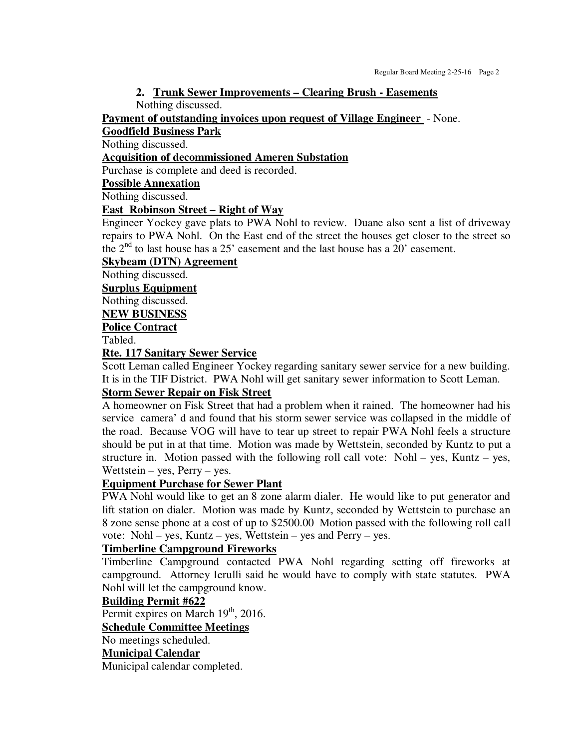# **2. Trunk Sewer Improvements – Clearing Brush - Easements**

Nothing discussed.

**Payment of outstanding invoices upon request of Village Engineer** - None.

# **Goodfield Business Park**

Nothing discussed.

# **Acquisition of decommissioned Ameren Substation**

Purchase is complete and deed is recorded.

#### **Possible Annexation**

Nothing discussed.

#### **East Robinson Street – Right of Way**

Engineer Yockey gave plats to PWA Nohl to review. Duane also sent a list of driveway repairs to PWA Nohl. On the East end of the street the houses get closer to the street so the  $2<sup>nd</sup>$  to last house has a 25' easement and the last house has a 20' easement.

#### **Skybeam (DTN) Agreement**

Nothing discussed.

**Surplus Equipment** 

Nothing discussed.

#### **NEW BUSINESS**

**Police Contract** 

Tabled.

#### **Rte. 117 Sanitary Sewer Service**

Scott Leman called Engineer Yockey regarding sanitary sewer service for a new building. It is in the TIF District. PWA Nohl will get sanitary sewer information to Scott Leman.

#### **Storm Sewer Repair on Fisk Street**

A homeowner on Fisk Street that had a problem when it rained. The homeowner had his service camera' d and found that his storm sewer service was collapsed in the middle of the road. Because VOG will have to tear up street to repair PWA Nohl feels a structure should be put in at that time. Motion was made by Wettstein, seconded by Kuntz to put a structure in. Motion passed with the following roll call vote:  $Nohl - yes$ , Kuntz – yes, Wettstein – yes, Perry – yes.

# **Equipment Purchase for Sewer Plant**

PWA Nohl would like to get an 8 zone alarm dialer. He would like to put generator and lift station on dialer. Motion was made by Kuntz, seconded by Wettstein to purchase an 8 zone sense phone at a cost of up to \$2500.00 Motion passed with the following roll call vote: Nohl – yes, Kuntz – yes, Wettstein – yes and Perry – yes.

#### **Timberline Campground Fireworks**

Timberline Campground contacted PWA Nohl regarding setting off fireworks at campground. Attorney Ierulli said he would have to comply with state statutes. PWA Nohl will let the campground know.

#### **Building Permit #622**

Permit expires on March 19<sup>th</sup>, 2016.

#### **Schedule Committee Meetings**

No meetings scheduled.

# **Municipal Calendar**

Municipal calendar completed.